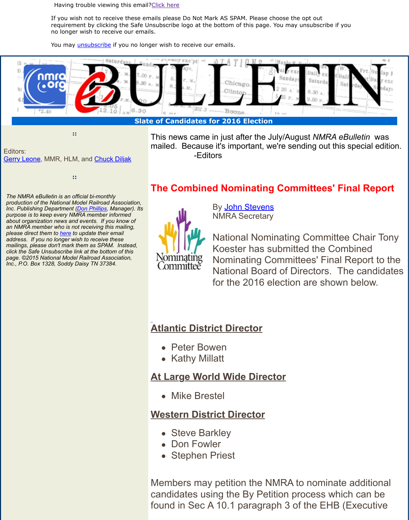#### **Slat[e of Cand](http://campaign.r20.constantcontact.com/render?ca=303bd63c-b325-4db9-983f-90fdbe1a1c6f&c=9a5dde00-ab16-11e3-b3d2-d4ae5292b9a6&ch=9b59f140-ab16-11e3-b3e7-d4ae5292b9a6)idates for 2016 Election**

-Editors

Editors: **Gerry Leone, MMR, HL[M, and Chuck](http://visitor.constantcontact.com/do?p=un&m=001Fz6H2UVkzyyGqEHPXtob9w%3D%3D&ch=9b59f140-ab16-11e3-b3e7-d4ae5292b9a6&ca=303bd63c-b325-4db9-983f-90fdbe1a1c6f) Diljak** 

**::**

*The NMRA eBulletin is an official bi-monthly production of the National Model Railroad Association, Inc. Publishing Department (Don Phillips, Manager). Its purpose is to keep every NMRA member informed about organization news and events. If you know of an NMRA member who is not receiving this mailing, please direct them to here to update their email address. If you no longer wish to receive these mailings, please don't mark them as SPAM. Instead, click the Safe Unsubscribe link at the bottom of this page. ©2015 National Model Railroad Association, Inc., P.O. Box 1328, Soddy Daisy TN 37384.*

# **The Combined Nominating Commit**

This news came in just after the July/August mailed. Because it's important, we're sending mailed.



By John Stevens NMRA Secretary

National Nominating Co Koester has submitted Nominating Committees National Board of Direc for the 2016 election are

## **Atlantic District [Director](mailto:snevets4@bellsouth.net)**

- Peter Bowen
- Kathy Millatt

#### **At Large World Wide Director**

Mike Brestel

### **Western District Director**

- Steve Barkley
- Don Fowler
- Stephen Priest

Members may petition the NMRA to no candidates using the By Petition proce found in Sec A 10.1 paragraph 3 of the

**::**